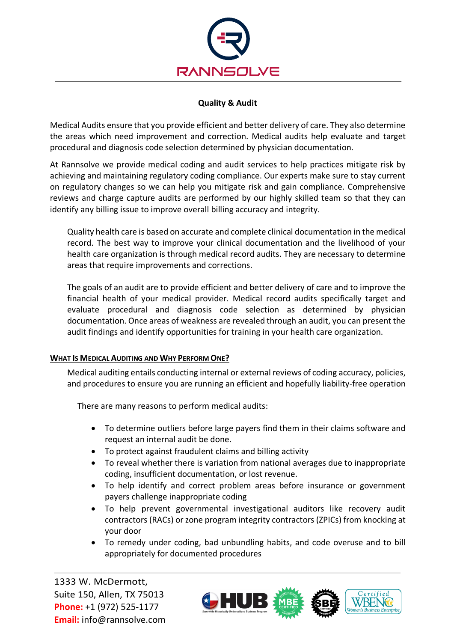

# **Quality & Audit**

Medical Audits ensure that you provide efficient and better delivery of care. They also determine the areas which need improvement and correction. Medical audits help evaluate and target procedural and diagnosis code selection determined by physician documentation.

At Rannsolve we provide medical coding and audit services to help practices mitigate risk by achieving and maintaining regulatory coding compliance. Our experts make sure to stay current on regulatory changes so we can help you mitigate risk and gain compliance. Comprehensive reviews and charge capture audits are performed by our highly skilled team so that they can identify any billing issue to improve overall billing accuracy and integrity.

Quality health care is based on accurate and complete clinical documentation in the medical record. The best way to improve your clinical documentation and the livelihood of your health care organization is through medical record audits. They are necessary to determine areas that require improvements and corrections.

The goals of an audit are to provide efficient and better delivery of care and to improve the financial health of your medical provider. Medical record audits specifically target and evaluate procedural and diagnosis code selection as determined by physician documentation. Once areas of weakness are revealed through an audit, you can present the audit findings and identify opportunities for training in your health care organization.

# **WHAT IS MEDICAL AUDITING AND WHY PERFORM ONE?**

Medical auditing entails conducting internal or external reviews of coding accuracy, policies, and procedures to ensure you are running an efficient and hopefully liability-free operation

There are many reasons to perform medical audits:

- To determine outliers before large payers find them in their claims software and request an internal audit be done.
- To protect against fraudulent claims and billing activity
- To reveal whether there is variation from national averages due to inappropriate coding, insufficient documentation, or lost revenue.
- To help identify and correct problem areas before insurance or government payers challenge inappropriate coding
- To help prevent governmental investigational auditors like recovery audit contractors (RACs) or zone program integrity contractors (ZPICs) from knocking at your door
- To remedy under coding, bad unbundling habits, and code overuse and to bill appropriately for documented procedures

1333 W. McDermott, Suite 150, Allen, TX 75013 **Phone:** +1 (972) 525-1177 **Email:** info@rannsolve.com

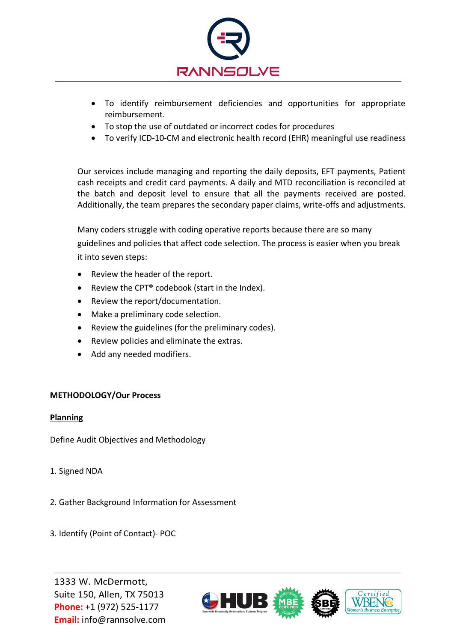

- To identify reimbursement deficiencies and opportunities for appropriate reimbursement.
- To stop the use of outdated or incorrect codes for procedures
- To verify ICD-10-CM and electronic health record (EHR) meaningful use readiness

Our services include managing and reporting the daily deposits, EFT payments, Patient cash receipts and credit card payments. A daily and MTD reconciliation is reconciled at the batch and deposit level to ensure that all the payments received are posted. Additionally, the team prepares the secondary paper claims, write-offs and adjustments.

Many coders struggle with coding operative reports because there are so many guidelines and policies that affect code selection. The process is easier when you break it into seven steps:

- Review the header of the report.
- Review the CPT® codebook (start in the Index).
- Review the report/documentation.
- Make a preliminary code selection.
- Review the guidelines (for the preliminary codes).
- Review policies and eliminate the extras.
- Add any needed modifiers.

# **METHODOLOGY/Our Process**

### **Planning**

Define Audit Objectives and Methodology

- 1. Signed NDA
- 2. Gather Background Information for Assessment
- 3. Identify (Point of Contact)- POC